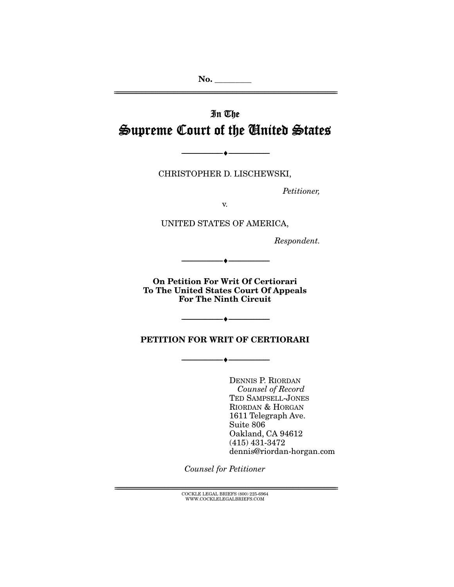# In The Supreme Court of the United States

CHRISTOPHER D. LISCHEWSKI,

--------------------------------- ♦ ---------------------------------

Petitioner,

v.

UNITED STATES OF AMERICA,

Respondent.

**On Petition For Writ Of Certiorari To The United States Court Of Appeals For The Ninth Circuit** 

--------------------------------- ♦ ---------------------------------

**PETITION FOR WRIT OF CERTIORARI** 

--------------------------------- ♦ ---------------------------------

--------------------------------- ♦ ---------------------------------

DENNIS P. RIORDAN Counsel of Record TED SAMPSELL-JONES RIORDAN & HORGAN 1611 Telegraph Ave. Suite 806 Oakland, CA 94612 (415) 431-3472 dennis@riordan-horgan.com

Counsel for Petitioner

 $\text{COCKLE LEGAL BRIEFS}$  (800) 225-6964 WWW.COCKLELEGALBRIEFS.COM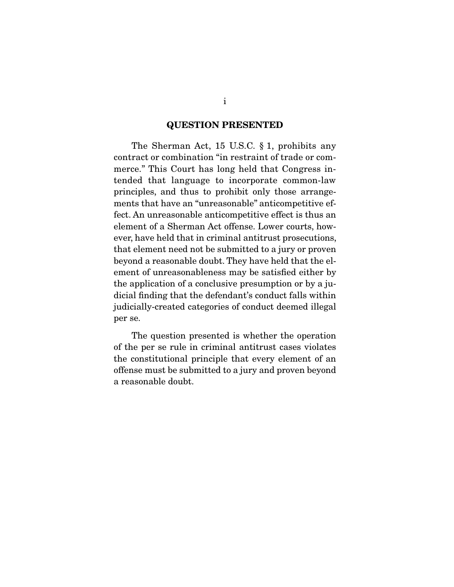#### **QUESTION PRESENTED**

 The Sherman Act, 15 U.S.C. § 1, prohibits any contract or combination "in restraint of trade or commerce." This Court has long held that Congress intended that language to incorporate common-law principles, and thus to prohibit only those arrangements that have an "unreasonable" anticompetitive effect. An unreasonable anticompetitive effect is thus an element of a Sherman Act offense. Lower courts, however, have held that in criminal antitrust prosecutions, that element need not be submitted to a jury or proven beyond a reasonable doubt. They have held that the element of unreasonableness may be satisfied either by the application of a conclusive presumption or by a judicial finding that the defendant's conduct falls within judicially-created categories of conduct deemed illegal per se.

 The question presented is whether the operation of the per se rule in criminal antitrust cases violates the constitutional principle that every element of an offense must be submitted to a jury and proven beyond a reasonable doubt.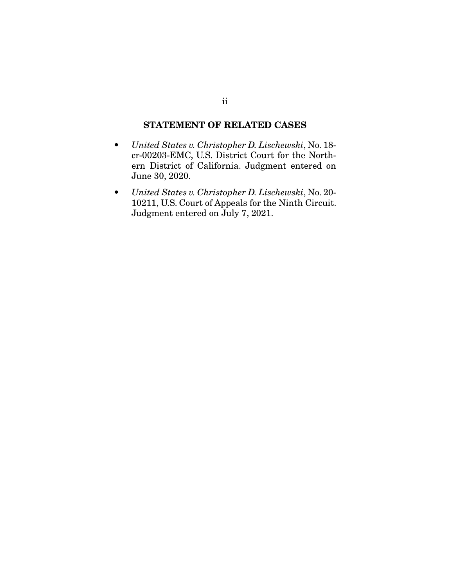### **STATEMENT OF RELATED CASES**

- United States v. Christopher D. Lischewski, No. 18 cr-00203-EMC, U.S. District Court for the Northern District of California. Judgment entered on June 30, 2020.
- United States v. Christopher D. Lischewski, No. 20- 10211, U.S. Court of Appeals for the Ninth Circuit. Judgment entered on July 7, 2021.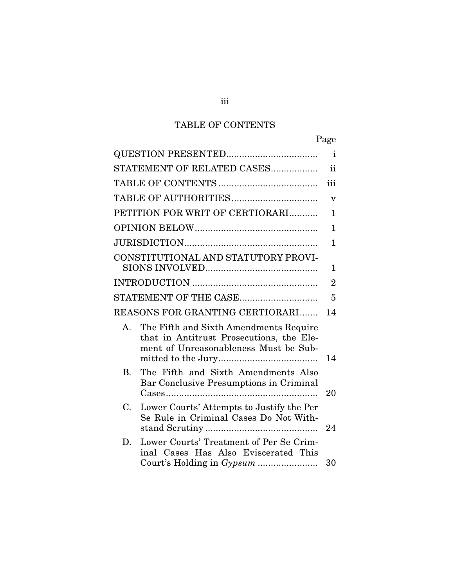## TABLE OF CONTENTS

|                                     | Page                                                                                                                        |
|-------------------------------------|-----------------------------------------------------------------------------------------------------------------------------|
|                                     | i                                                                                                                           |
| STATEMENT OF RELATED CASES          | <sub>ii</sub>                                                                                                               |
|                                     | iii                                                                                                                         |
|                                     | $\overline{\mathbf{V}}$                                                                                                     |
| PETITION FOR WRIT OF CERTIORARI     | 1                                                                                                                           |
|                                     | 1                                                                                                                           |
|                                     | $\mathbf{1}$                                                                                                                |
| CONSTITUTIONAL AND STATUTORY PROVI- |                                                                                                                             |
|                                     | 1                                                                                                                           |
|                                     | $\overline{2}$                                                                                                              |
| STATEMENT OF THE CASE               | 5                                                                                                                           |
| REASONS FOR GRANTING CERTIORARI     | 14                                                                                                                          |
| $A_{\cdot}$                         | The Fifth and Sixth Amendments Require<br>that in Antitrust Prosecutions, the Ele-<br>ment of Unreasonableness Must be Sub- |
|                                     | 14                                                                                                                          |
| В.                                  | The Fifth and Sixth Amendments Also<br>Bar Conclusive Presumptions in Criminal<br>20                                        |
| C.                                  | Lower Courts' Attempts to Justify the Per<br>Se Rule in Criminal Cases Do Not With-<br>24                                   |
| D.                                  | Lower Courts' Treatment of Per Se Crim-<br>inal Cases Has Also Eviscerated This<br>30                                       |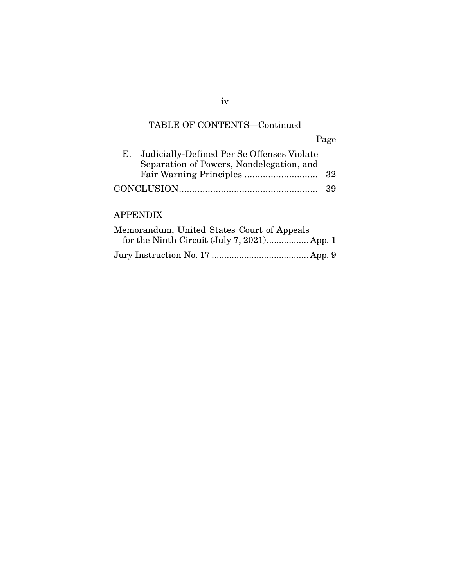### TABLE OF CONTENTS—Continued

Page E. Judicially-Defined Per Se Offenses Violate Separation of Powers, Nondelegation, and Fair Warning Principles ............................ 32 CONCLUSION ..................................................... 39

### APPENDIX

| Memorandum, United States Court of Appeals |  |
|--------------------------------------------|--|
|                                            |  |
|                                            |  |

iv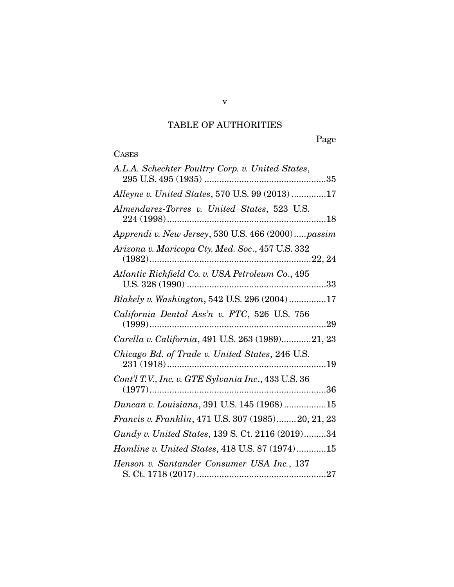## TABLE OF AUTHORITIES

Page

## **CASES**

| A.L.A. Schechter Poultry Corp. v. United States,    |
|-----------------------------------------------------|
| Alleyne v. United States, 570 U.S. 99 (2013) 17     |
| Almendarez-Torres v. United States, 523 U.S.        |
| Apprendi v. New Jersey, 530 U.S. 466 (2000)passim   |
| Arizona v. Maricopa Cty. Med. Soc., 457 U.S. 332    |
| Atlantic Richfield Co. v. USA Petroleum Co., 495    |
| Blakely v. Washington, 542 U.S. 296 (2004)17        |
| California Dental Ass'n v. FTC, 526 U.S. 756        |
| Carella v. California, 491 U.S. 263 (1989)21, 23    |
| Chicago Bd. of Trade v. United States, 246 U.S.     |
| Cont'l T.V., Inc. v. GTE Sylvania Inc., 433 U.S. 36 |
| Duncan v. Louisiana, 391 U.S. 145 (1968)15          |
| Francis v. Franklin, 471 U.S. 307 (1985)20, 21, 23  |
| Gundy v. United States, 139 S. Ct. 2116 (2019)34    |
| Hamline v. United States, 418 U.S. 87 (1974)15      |
| Henson v. Santander Consumer USA Inc., 137          |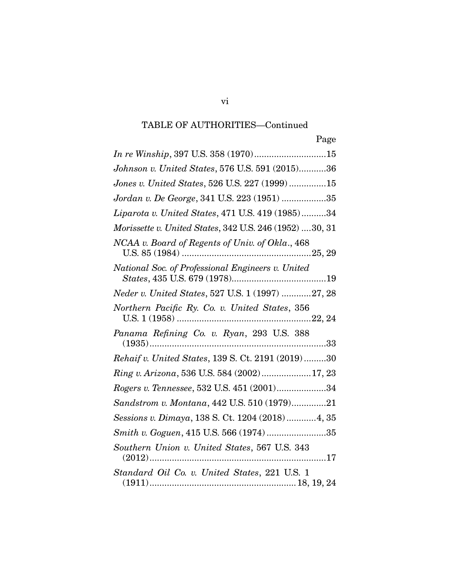| Page                                                    |
|---------------------------------------------------------|
|                                                         |
| Johnson v. United States, 576 U.S. 591 (2015)36         |
| Jones v. United States, 526 U.S. 227 (1999)15           |
| Jordan v. De George, 341 U.S. 223 (1951) 35             |
| Liparota v. United States, 471 U.S. 419 (1985)34        |
| Morissette v. United States, 342 U.S. 246 (1952) 30, 31 |
| NCAA v. Board of Regents of Univ. of Okla., 468         |
| National Soc. of Professional Engineers v. United       |
| Neder v. United States, 527 U.S. 1 (1997) 27, 28        |
| Northern Pacific Ry. Co. v. United States, 356          |
| Panama Refining Co. v. Ryan, 293 U.S. 388               |
| Rehaif v. United States, 139 S. Ct. 2191 (2019) 30      |
| Ring v. Arizona, 536 U.S. 584 (2002)17, 23              |
| Rogers v. Tennessee, 532 U.S. 451 (2001)34              |
| Sandstrom v. Montana, 442 U.S. 510 (1979)21             |
| Sessions v. Dimaya, 138 S. Ct. 1204 (2018)4, 35         |
| Smith v. Goguen, 415 U.S. 566 (1974) 35                 |
| Southern Union v. United States, 567 U.S. 343           |
| Standard Oil Co. v. United States, 221 U.S. 1           |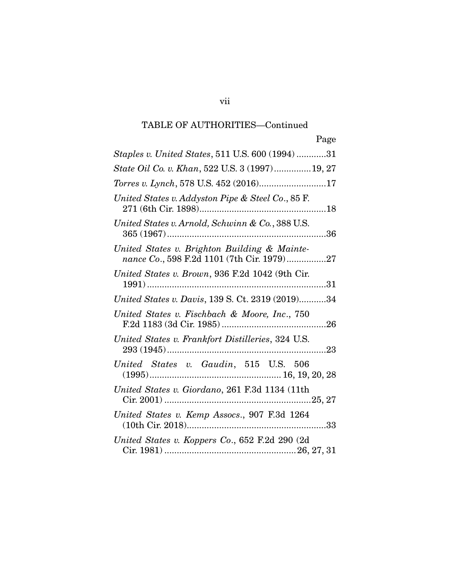| Page                                                                                       |
|--------------------------------------------------------------------------------------------|
| Staples v. United States, 511 U.S. 600 (1994) 31                                           |
| State Oil Co. v. Khan, 522 U.S. 3 (1997)19, 27                                             |
|                                                                                            |
| United States v. Addyston Pipe & Steel Co., 85 F.                                          |
| United States v. Arnold, Schwinn & Co., 388 U.S.                                           |
| United States v. Brighton Building & Mainte-<br>nance Co., 598 F.2d 1101 (7th Cir. 1979)27 |
| United States v. Brown, 936 F.2d 1042 (9th Cir.                                            |
| United States v. Davis, 139 S. Ct. 2319 (2019)34                                           |
| United States v. Fischbach & Moore, Inc., 750                                              |
| United States v. Frankfort Distilleries, 324 U.S.                                          |
| United States v. Gaudin, 515 U.S. 506                                                      |
| United States v. Giordano, 261 F.3d 1134 (11th                                             |
| United States v. Kemp Assocs., 907 F.3d 1264                                               |
| United States v. Koppers Co., 652 F.2d 290 (2d                                             |

vii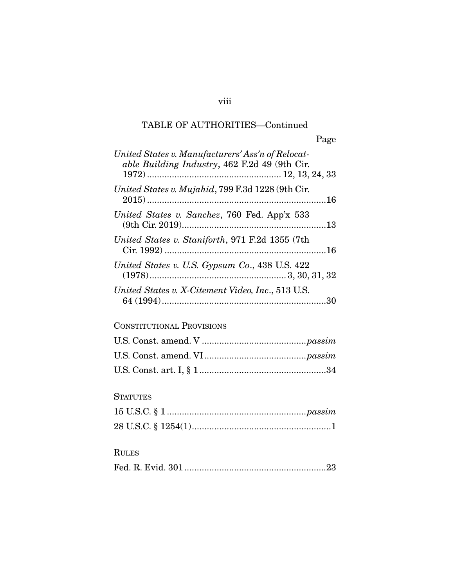|--|

| United States v. Manufacturers' Ass'n of Relocat-<br>able Building Industry, 462 F.2d 49 (9th Cir. |
|----------------------------------------------------------------------------------------------------|
| United States v. Mujahid, 799 F.3d 1228 (9th Cir.                                                  |
| United States v. Sanchez, 760 Fed. App'x 533                                                       |
| United States v. Staniforth, 971 F.2d 1355 (7th                                                    |
| United States v. U.S. Gypsum Co., 438 U.S. 422                                                     |
| United States v. X-Citement Video, Inc., 513 U.S.                                                  |

## CONSTITUTIONAL PROVISIONS

### **STATUTES**

## RULES

|--|--|

## viii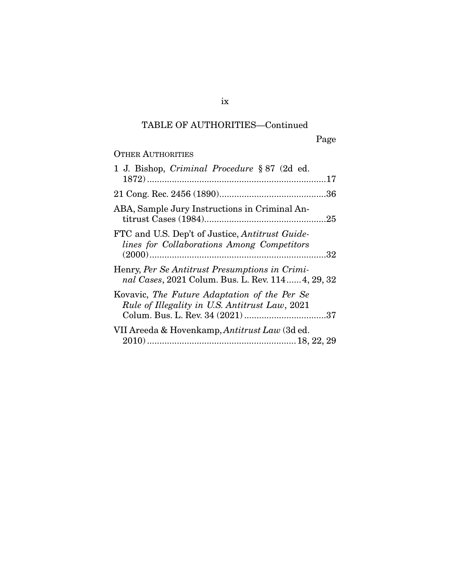Page

## OTHER AUTHORITIES

| 1 J. Bishop, Criminal Procedure § 87 (2d ed.                                                        |
|-----------------------------------------------------------------------------------------------------|
|                                                                                                     |
|                                                                                                     |
| ABA, Sample Jury Instructions in Criminal An-                                                       |
| FTC and U.S. Dep't of Justice, Antitrust Guide-<br>lines for Collaborations Among Competitors       |
| Henry, Per Se Antitrust Presumptions in Crimi-<br>nal Cases, 2021 Colum. Bus. L. Rev. 114 4, 29, 32 |
| Kovavic, The Future Adaptation of the Per Se<br>Rule of Illegality in U.S. Antitrust Law, 2021      |
| VII Areeda & Hovenkamp, Antitrust Law (3d ed.                                                       |

ix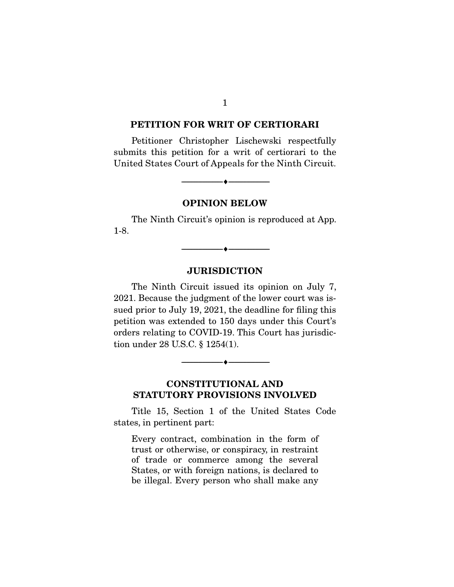#### **PETITION FOR WRIT OF CERTIORARI**

Petitioner Christopher Lischewski respectfully submits this petition for a writ of certiorari to the United States Court of Appeals for the Ninth Circuit.

**OPINION BELOW** 

--------------------------------- ♦ ---------------------------------

The Ninth Circuit's opinion is reproduced at App. 1-8.

 $\overbrace{\hspace{2.5cm}}^{\bullet}$   $\overbrace{\hspace{2.5cm}}^{\bullet}$ 

#### **JURISDICTION**

The Ninth Circuit issued its opinion on July 7, 2021. Because the judgment of the lower court was issued prior to July 19, 2021, the deadline for filing this petition was extended to 150 days under this Court's orders relating to COVID-19. This Court has jurisdiction under 28 U.S.C. § 1254(1).

**CONSTITUTIONAL AND STATUTORY PROVISIONS INVOLVED** 

 $\overbrace{\hspace{2.5cm}}^{\bullet}$   $\overbrace{\hspace{2.5cm}}^{\bullet}$ 

Title 15, Section 1 of the United States Code states, in pertinent part:

Every contract, combination in the form of trust or otherwise, or conspiracy, in restraint of trade or commerce among the several States, or with foreign nations, is declared to be illegal. Every person who shall make any

1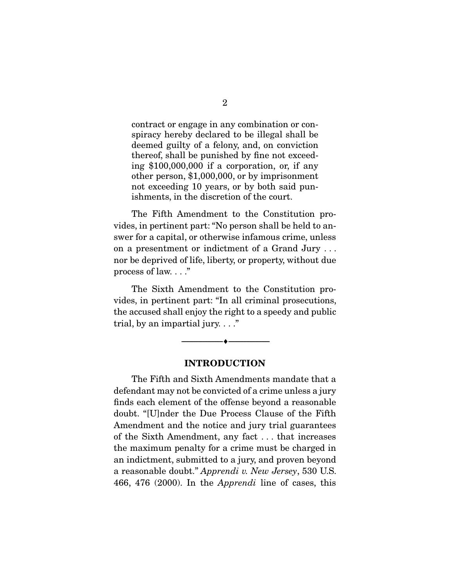contract or engage in any combination or conspiracy hereby declared to be illegal shall be deemed guilty of a felony, and, on conviction thereof, shall be punished by fine not exceeding \$100,000,000 if a corporation, or, if any other person, \$1,000,000, or by imprisonment not exceeding 10 years, or by both said punishments, in the discretion of the court.

 The Fifth Amendment to the Constitution provides, in pertinent part: "No person shall be held to answer for a capital, or otherwise infamous crime, unless on a presentment or indictment of a Grand Jury . . . nor be deprived of life, liberty, or property, without due process of law. . . ."

 The Sixth Amendment to the Constitution provides, in pertinent part: "In all criminal prosecutions, the accused shall enjoy the right to a speedy and public trial, by an impartial jury.  $\ldots$ "

#### **INTRODUCTION**

 $\overbrace{\hspace{2.5cm}}^{\bullet}$   $\overbrace{\hspace{2.5cm}}^{\bullet}$ 

The Fifth and Sixth Amendments mandate that a defendant may not be convicted of a crime unless a jury finds each element of the offense beyond a reasonable doubt. "[U]nder the Due Process Clause of the Fifth Amendment and the notice and jury trial guarantees of the Sixth Amendment, any fact . . . that increases the maximum penalty for a crime must be charged in an indictment, submitted to a jury, and proven beyond a reasonable doubt." Apprendi v. New Jersey, 530 U.S. 466, 476 (2000). In the Apprendi line of cases, this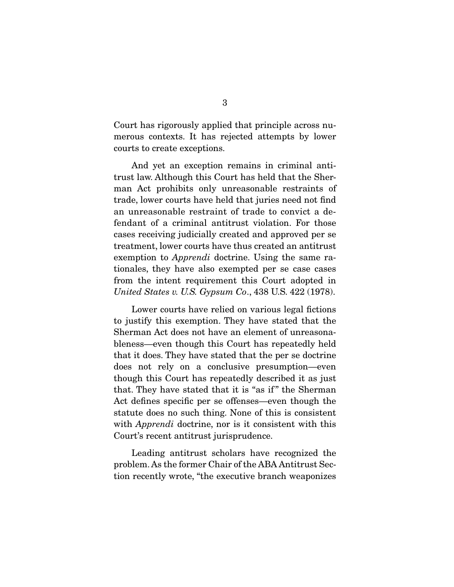Court has rigorously applied that principle across numerous contexts. It has rejected attempts by lower courts to create exceptions.

 And yet an exception remains in criminal antitrust law. Although this Court has held that the Sherman Act prohibits only unreasonable restraints of trade, lower courts have held that juries need not find an unreasonable restraint of trade to convict a defendant of a criminal antitrust violation. For those cases receiving judicially created and approved per se treatment, lower courts have thus created an antitrust exemption to Apprendi doctrine. Using the same rationales, they have also exempted per se case cases from the intent requirement this Court adopted in United States v. U.S. Gypsum Co., 438 U.S. 422 (1978).

 Lower courts have relied on various legal fictions to justify this exemption. They have stated that the Sherman Act does not have an element of unreasonableness—even though this Court has repeatedly held that it does. They have stated that the per se doctrine does not rely on a conclusive presumption—even though this Court has repeatedly described it as just that. They have stated that it is "as if " the Sherman Act defines specific per se offenses—even though the statute does no such thing. None of this is consistent with *Apprendi* doctrine, nor is it consistent with this Court's recent antitrust jurisprudence.

 Leading antitrust scholars have recognized the problem. As the former Chair of the ABA Antitrust Section recently wrote, "the executive branch weaponizes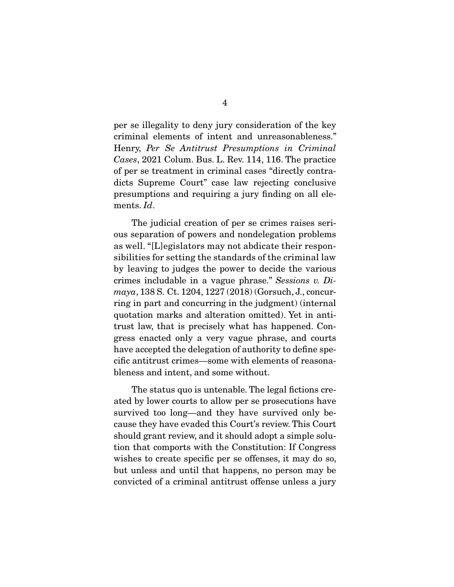per se illegality to deny jury consideration of the key criminal elements of intent and unreasonableness." Henry, Per Se Antitrust Presumptions in Criminal Cases, 2021 Colum. Bus. L. Rev. 114, 116. The practice of per se treatment in criminal cases "directly contradicts Supreme Court" case law rejecting conclusive presumptions and requiring a jury finding on all elements. Id.

 The judicial creation of per se crimes raises serious separation of powers and nondelegation problems as well. "[L]egislators may not abdicate their responsibilities for setting the standards of the criminal law by leaving to judges the power to decide the various crimes includable in a vague phrase." Sessions v. Dimaya, 138 S. Ct. 1204, 1227 (2018) (Gorsuch, J., concurring in part and concurring in the judgment) (internal quotation marks and alteration omitted). Yet in antitrust law, that is precisely what has happened. Congress enacted only a very vague phrase, and courts have accepted the delegation of authority to define specific antitrust crimes—some with elements of reasonableness and intent, and some without.

 The status quo is untenable. The legal fictions created by lower courts to allow per se prosecutions have survived too long—and they have survived only because they have evaded this Court's review. This Court should grant review, and it should adopt a simple solution that comports with the Constitution: If Congress wishes to create specific per se offenses, it may do so, but unless and until that happens, no person may be convicted of a criminal antitrust offense unless a jury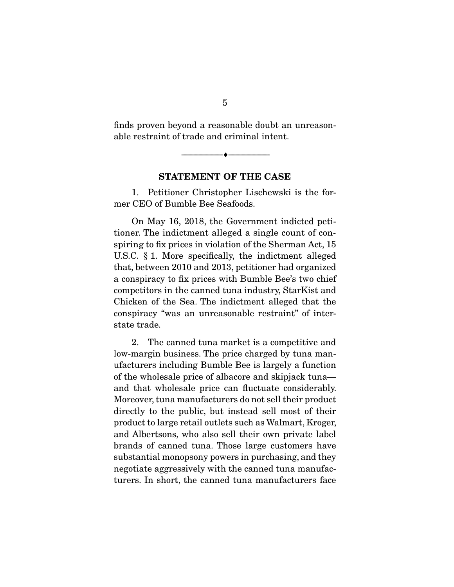finds proven beyond a reasonable doubt an unreasonable restraint of trade and criminal intent.

 $\overbrace{\hspace{2.5cm}}^{\bullet}$   $\overbrace{\hspace{2.5cm}}^{\bullet}$ 

#### **STATEMENT OF THE CASE**

1. Petitioner Christopher Lischewski is the former CEO of Bumble Bee Seafoods.

 On May 16, 2018, the Government indicted petitioner. The indictment alleged a single count of conspiring to fix prices in violation of the Sherman Act, 15 U.S.C. § 1. More specifically, the indictment alleged that, between 2010 and 2013, petitioner had organized a conspiracy to fix prices with Bumble Bee's two chief competitors in the canned tuna industry, StarKist and Chicken of the Sea. The indictment alleged that the conspiracy "was an unreasonable restraint" of interstate trade.

 2. The canned tuna market is a competitive and low-margin business. The price charged by tuna manufacturers including Bumble Bee is largely a function of the wholesale price of albacore and skipjack tuna and that wholesale price can fluctuate considerably. Moreover, tuna manufacturers do not sell their product directly to the public, but instead sell most of their product to large retail outlets such as Walmart, Kroger, and Albertsons, who also sell their own private label brands of canned tuna. Those large customers have substantial monopsony powers in purchasing, and they negotiate aggressively with the canned tuna manufacturers. In short, the canned tuna manufacturers face

5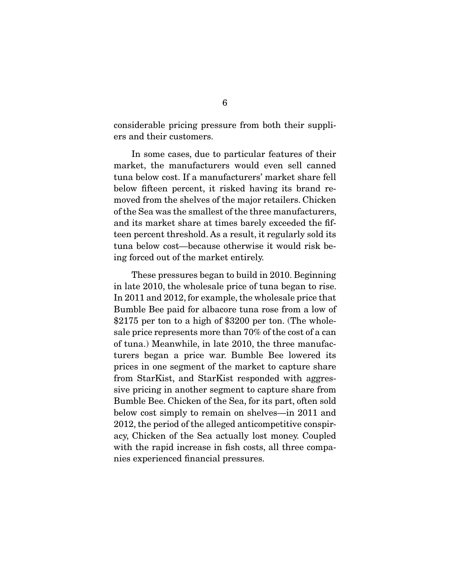considerable pricing pressure from both their suppliers and their customers.

 In some cases, due to particular features of their market, the manufacturers would even sell canned tuna below cost. If a manufacturers' market share fell below fifteen percent, it risked having its brand removed from the shelves of the major retailers. Chicken of the Sea was the smallest of the three manufacturers, and its market share at times barely exceeded the fifteen percent threshold. As a result, it regularly sold its tuna below cost—because otherwise it would risk being forced out of the market entirely.

 These pressures began to build in 2010. Beginning in late 2010, the wholesale price of tuna began to rise. In 2011 and 2012, for example, the wholesale price that Bumble Bee paid for albacore tuna rose from a low of \$2175 per ton to a high of \$3200 per ton. (The wholesale price represents more than 70% of the cost of a can of tuna.) Meanwhile, in late 2010, the three manufacturers began a price war. Bumble Bee lowered its prices in one segment of the market to capture share from StarKist, and StarKist responded with aggressive pricing in another segment to capture share from Bumble Bee. Chicken of the Sea, for its part, often sold below cost simply to remain on shelves—in 2011 and 2012, the period of the alleged anticompetitive conspiracy, Chicken of the Sea actually lost money. Coupled with the rapid increase in fish costs, all three companies experienced financial pressures.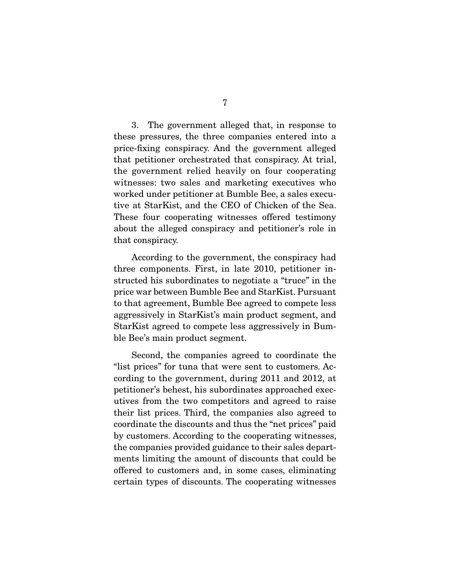3. The government alleged that, in response to these pressures, the three companies entered into a price-fixing conspiracy. And the government alleged that petitioner orchestrated that conspiracy. At trial, the government relied heavily on four cooperating witnesses: two sales and marketing executives who worked under petitioner at Bumble Bee, a sales executive at StarKist, and the CEO of Chicken of the Sea. These four cooperating witnesses offered testimony about the alleged conspiracy and petitioner's role in that conspiracy.

 According to the government, the conspiracy had three components. First, in late 2010, petitioner instructed his subordinates to negotiate a "truce" in the price war between Bumble Bee and StarKist. Pursuant to that agreement, Bumble Bee agreed to compete less aggressively in StarKist's main product segment, and StarKist agreed to compete less aggressively in Bumble Bee's main product segment.

 Second, the companies agreed to coordinate the "list prices" for tuna that were sent to customers. According to the government, during 2011 and 2012, at petitioner's behest, his subordinates approached executives from the two competitors and agreed to raise their list prices. Third, the companies also agreed to coordinate the discounts and thus the "net prices" paid by customers. According to the cooperating witnesses, the companies provided guidance to their sales departments limiting the amount of discounts that could be offered to customers and, in some cases, eliminating certain types of discounts. The cooperating witnesses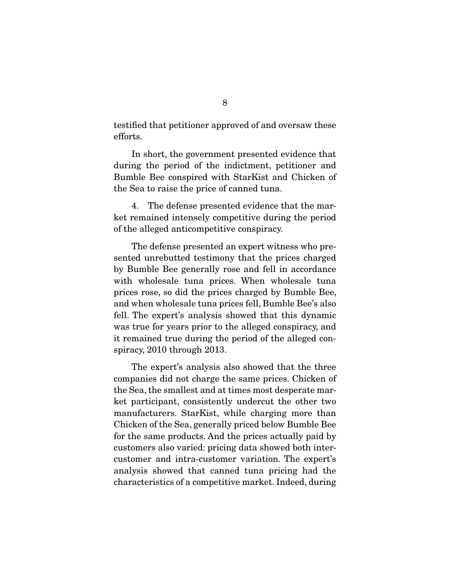testified that petitioner approved of and oversaw these efforts.

 In short, the government presented evidence that during the period of the indictment, petitioner and Bumble Bee conspired with StarKist and Chicken of the Sea to raise the price of canned tuna.

 4. The defense presented evidence that the market remained intensely competitive during the period of the alleged anticompetitive conspiracy.

 The defense presented an expert witness who presented unrebutted testimony that the prices charged by Bumble Bee generally rose and fell in accordance with wholesale tuna prices. When wholesale tuna prices rose, so did the prices charged by Bumble Bee, and when wholesale tuna prices fell, Bumble Bee's also fell. The expert's analysis showed that this dynamic was true for years prior to the alleged conspiracy, and it remained true during the period of the alleged conspiracy, 2010 through 2013.

 The expert's analysis also showed that the three companies did not charge the same prices. Chicken of the Sea, the smallest and at times most desperate market participant, consistently undercut the other two manufacturers. StarKist, while charging more than Chicken of the Sea, generally priced below Bumble Bee for the same products. And the prices actually paid by customers also varied: pricing data showed both intercustomer and intra-customer variation. The expert's analysis showed that canned tuna pricing had the characteristics of a competitive market. Indeed, during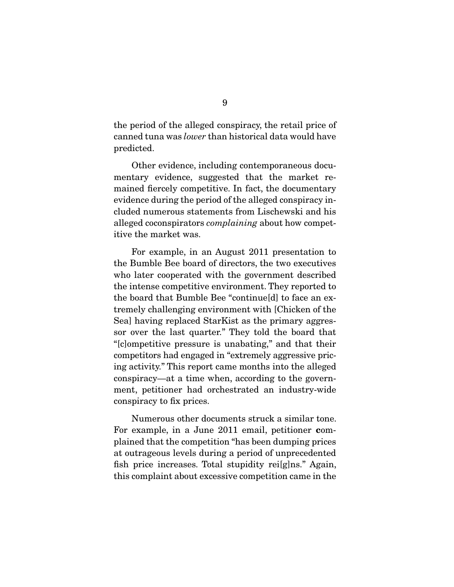the period of the alleged conspiracy, the retail price of canned tuna was lower than historical data would have predicted.

 Other evidence, including contemporaneous documentary evidence, suggested that the market remained fiercely competitive. In fact, the documentary evidence during the period of the alleged conspiracy included numerous statements from Lischewski and his alleged coconspirators complaining about how competitive the market was.

 For example, in an August 2011 presentation to the Bumble Bee board of directors, the two executives who later cooperated with the government described the intense competitive environment. They reported to the board that Bumble Bee "continue[d] to face an extremely challenging environment with [Chicken of the Sea] having replaced StarKist as the primary aggressor over the last quarter." They told the board that "[c]ompetitive pressure is unabating," and that their competitors had engaged in "extremely aggressive pricing activity." This report came months into the alleged conspiracy—at a time when, according to the government, petitioner had orchestrated an industry-wide conspiracy to fix prices.

 Numerous other documents struck a similar tone. For example, in a June 2011 email, petitioner **c**omplained that the competition "has been dumping prices at outrageous levels during a period of unprecedented fish price increases. Total stupidity rei[g]ns." Again, this complaint about excessive competition came in the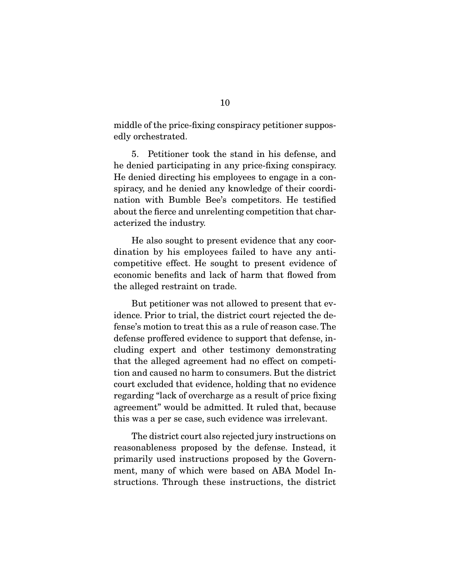middle of the price-fixing conspiracy petitioner supposedly orchestrated.

 5. Petitioner took the stand in his defense, and he denied participating in any price-fixing conspiracy. He denied directing his employees to engage in a conspiracy, and he denied any knowledge of their coordination with Bumble Bee's competitors. He testified about the fierce and unrelenting competition that characterized the industry.

 He also sought to present evidence that any coordination by his employees failed to have any anticompetitive effect. He sought to present evidence of economic benefits and lack of harm that flowed from the alleged restraint on trade.

 But petitioner was not allowed to present that evidence. Prior to trial, the district court rejected the defense's motion to treat this as a rule of reason case. The defense proffered evidence to support that defense, including expert and other testimony demonstrating that the alleged agreement had no effect on competition and caused no harm to consumers. But the district court excluded that evidence, holding that no evidence regarding "lack of overcharge as a result of price fixing agreement" would be admitted. It ruled that, because this was a per se case, such evidence was irrelevant.

 The district court also rejected jury instructions on reasonableness proposed by the defense. Instead, it primarily used instructions proposed by the Government, many of which were based on ABA Model Instructions. Through these instructions, the district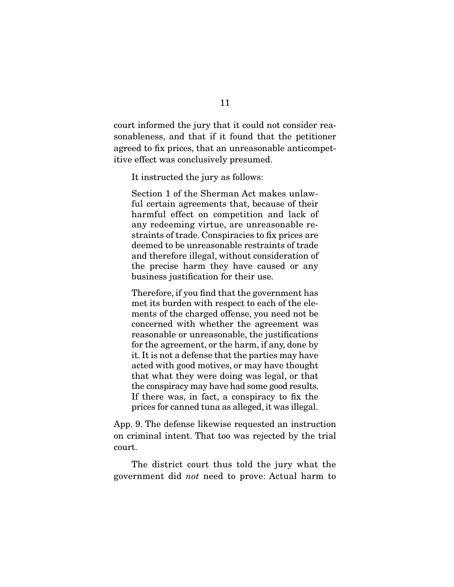court informed the jury that it could not consider reasonableness, and that if it found that the petitioner agreed to fix prices, that an unreasonable anticompetitive effect was conclusively presumed.

It instructed the jury as follows:

Section 1 of the Sherman Act makes unlawful certain agreements that, because of their harmful effect on competition and lack of any redeeming virtue, are unreasonable restraints of trade. Conspiracies to fix prices are deemed to be unreasonable restraints of trade and therefore illegal, without consideration of the precise harm they have caused or any business justification for their use.

Therefore, if you find that the government has met its burden with respect to each of the elements of the charged offense, you need not be concerned with whether the agreement was reasonable or unreasonable, the justifications for the agreement, or the harm, if any, done by it. It is not a defense that the parties may have acted with good motives, or may have thought that what they were doing was legal, or that the conspiracy may have had some good results. If there was, in fact, a conspiracy to fix the prices for canned tuna as alleged, it was illegal.

App. 9. The defense likewise requested an instruction on criminal intent. That too was rejected by the trial court.

 The district court thus told the jury what the government did not need to prove: Actual harm to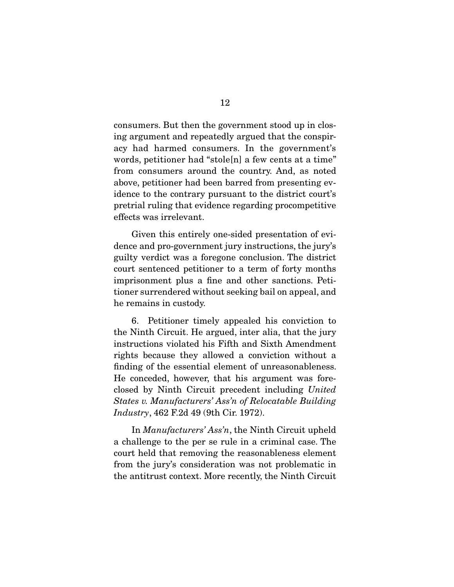consumers. But then the government stood up in closing argument and repeatedly argued that the conspiracy had harmed consumers. In the government's words, petitioner had "stole[n] a few cents at a time" from consumers around the country. And, as noted above, petitioner had been barred from presenting evidence to the contrary pursuant to the district court's pretrial ruling that evidence regarding procompetitive effects was irrelevant.

 Given this entirely one-sided presentation of evidence and pro-government jury instructions, the jury's guilty verdict was a foregone conclusion. The district court sentenced petitioner to a term of forty months imprisonment plus a fine and other sanctions. Petitioner surrendered without seeking bail on appeal, and he remains in custody.

 6. Petitioner timely appealed his conviction to the Ninth Circuit. He argued, inter alia, that the jury instructions violated his Fifth and Sixth Amendment rights because they allowed a conviction without a finding of the essential element of unreasonableness. He conceded, however, that his argument was foreclosed by Ninth Circuit precedent including United States v. Manufacturers' Ass'n of Relocatable Building Industry, 462 F.2d 49 (9th Cir. 1972).

 In Manufacturers' Ass'n, the Ninth Circuit upheld a challenge to the per se rule in a criminal case. The court held that removing the reasonableness element from the jury's consideration was not problematic in the antitrust context. More recently, the Ninth Circuit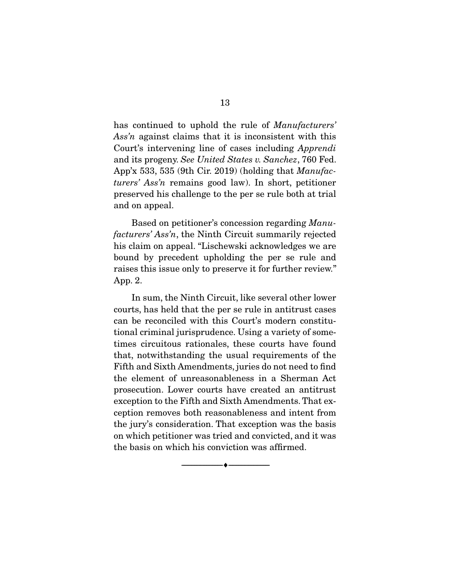has continued to uphold the rule of *Manufacturers'* Ass'n against claims that it is inconsistent with this Court's intervening line of cases including Apprendi and its progeny. See United States v. Sanchez, 760 Fed. App'x 533, 535 (9th Cir. 2019) (holding that  $\textit{Manufac}$ turers' Ass'n remains good law). In short, petitioner preserved his challenge to the per se rule both at trial and on appeal.

Based on petitioner's concession regarding Manufacturers' Ass'n, the Ninth Circuit summarily rejected his claim on appeal. "Lischewski acknowledges we are bound by precedent upholding the per se rule and raises this issue only to preserve it for further review." App. 2.

 In sum, the Ninth Circuit, like several other lower courts, has held that the per se rule in antitrust cases can be reconciled with this Court's modern constitutional criminal jurisprudence. Using a variety of sometimes circuitous rationales, these courts have found that, notwithstanding the usual requirements of the Fifth and Sixth Amendments, juries do not need to find the element of unreasonableness in a Sherman Act prosecution. Lower courts have created an antitrust exception to the Fifth and Sixth Amendments. That exception removes both reasonableness and intent from the jury's consideration. That exception was the basis on which petitioner was tried and convicted, and it was the basis on which his conviction was affirmed.

 $\overbrace{\hspace{2.5cm}}^{\bullet}$   $\overbrace{\hspace{2.5cm}}^{\bullet}$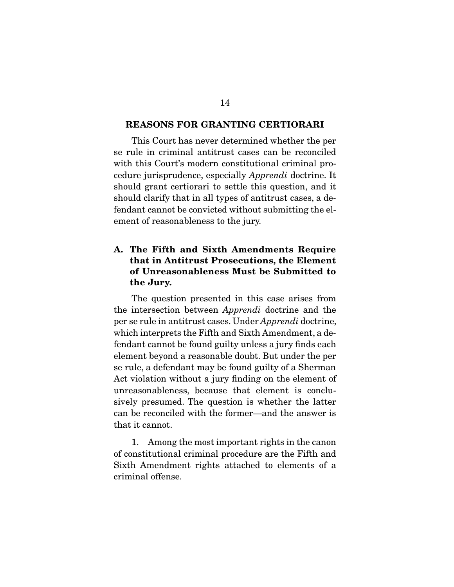#### **REASONS FOR GRANTING CERTIORARI**

This Court has never determined whether the per se rule in criminal antitrust cases can be reconciled with this Court's modern constitutional criminal procedure jurisprudence, especially Apprendi doctrine. It should grant certiorari to settle this question, and it should clarify that in all types of antitrust cases, a defendant cannot be convicted without submitting the element of reasonableness to the jury.

### **A. The Fifth and Sixth Amendments Require that in Antitrust Prosecutions, the Element of Unreasonableness Must be Submitted to the Jury.**

The question presented in this case arises from the intersection between Apprendi doctrine and the per se rule in antitrust cases. Under Apprendi doctrine, which interprets the Fifth and Sixth Amendment, a defendant cannot be found guilty unless a jury finds each element beyond a reasonable doubt. But under the per se rule, a defendant may be found guilty of a Sherman Act violation without a jury finding on the element of unreasonableness, because that element is conclusively presumed. The question is whether the latter can be reconciled with the former—and the answer is that it cannot.

 1. Among the most important rights in the canon of constitutional criminal procedure are the Fifth and Sixth Amendment rights attached to elements of a criminal offense.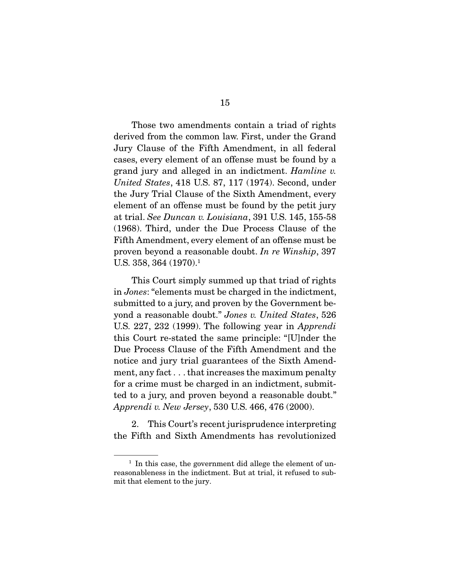Those two amendments contain a triad of rights derived from the common law. First, under the Grand Jury Clause of the Fifth Amendment, in all federal cases, every element of an offense must be found by a grand jury and alleged in an indictment. Hamline v. United States, 418 U.S. 87, 117 (1974). Second, under the Jury Trial Clause of the Sixth Amendment, every element of an offense must be found by the petit jury at trial. See Duncan v. Louisiana, 391 U.S. 145, 155-58 (1968). Third, under the Due Process Clause of the Fifth Amendment, every element of an offense must be proven beyond a reasonable doubt. In re Winship, 397 U.S. 358, 364  $(1970)^1$ 

 This Court simply summed up that triad of rights in Jones: "elements must be charged in the indictment, submitted to a jury, and proven by the Government beyond a reasonable doubt." Jones v. United States, 526 U.S. 227, 232 (1999). The following year in Apprendi this Court re-stated the same principle: "[U]nder the Due Process Clause of the Fifth Amendment and the notice and jury trial guarantees of the Sixth Amendment, any fact . . . that increases the maximum penalty for a crime must be charged in an indictment, submitted to a jury, and proven beyond a reasonable doubt." Apprendi v. New Jersey, 530 U.S. 466, 476 (2000).

 2. This Court's recent jurisprudence interpreting the Fifth and Sixth Amendments has revolutionized

 $<sup>1</sup>$  In this case, the government did allege the element of un-</sup> reasonableness in the indictment. But at trial, it refused to submit that element to the jury.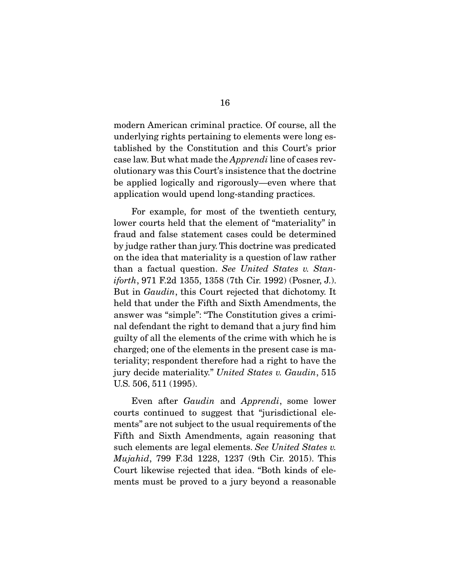modern American criminal practice. Of course, all the underlying rights pertaining to elements were long established by the Constitution and this Court's prior case law. But what made the Apprendi line of cases revolutionary was this Court's insistence that the doctrine be applied logically and rigorously—even where that application would upend long-standing practices.

 For example, for most of the twentieth century, lower courts held that the element of "materiality" in fraud and false statement cases could be determined by judge rather than jury. This doctrine was predicated on the idea that materiality is a question of law rather than a factual question. See United States v. Staniforth, 971 F.2d 1355, 1358 (7th Cir. 1992) (Posner, J.). But in Gaudin, this Court rejected that dichotomy. It held that under the Fifth and Sixth Amendments, the answer was "simple": "The Constitution gives a criminal defendant the right to demand that a jury find him guilty of all the elements of the crime with which he is charged; one of the elements in the present case is materiality; respondent therefore had a right to have the jury decide materiality." United States v. Gaudin, 515 U.S. 506, 511 (1995).

 Even after Gaudin and Apprendi, some lower courts continued to suggest that "jurisdictional elements" are not subject to the usual requirements of the Fifth and Sixth Amendments, again reasoning that such elements are legal elements. See United States v. Mujahid, 799 F.3d 1228, 1237 (9th Cir. 2015). This Court likewise rejected that idea. "Both kinds of elements must be proved to a jury beyond a reasonable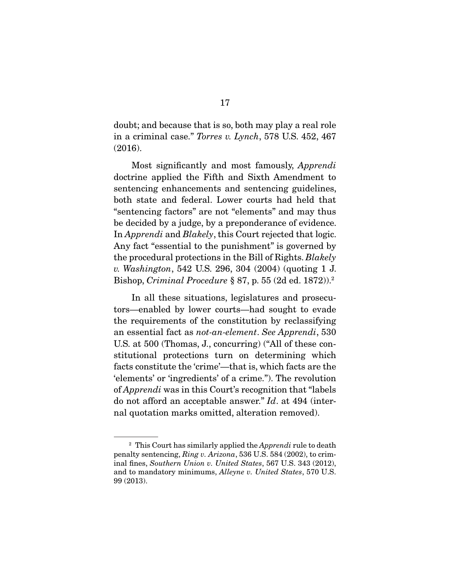doubt; and because that is so, both may play a real role in a criminal case." Torres v. Lynch, 578 U.S. 452, 467 (2016).

 Most significantly and most famously, Apprendi doctrine applied the Fifth and Sixth Amendment to sentencing enhancements and sentencing guidelines, both state and federal. Lower courts had held that "sentencing factors" are not "elements" and may thus be decided by a judge, by a preponderance of evidence. In *Apprendi* and *Blakely*, this Court rejected that logic. Any fact "essential to the punishment" is governed by the procedural protections in the Bill of Rights. Blakely v. Washington, 542 U.S. 296, 304 (2004) (quoting 1 J. Bishop, Criminal Procedure § 87, p. 55 (2d ed. 1872)).2

 In all these situations, legislatures and prosecutors—enabled by lower courts—had sought to evade the requirements of the constitution by reclassifying an essential fact as not-an-element. See Apprendi, 530 U.S. at 500 (Thomas, J., concurring) ("All of these constitutional protections turn on determining which facts constitute the 'crime'—that is, which facts are the 'elements' or 'ingredients' of a crime."). The revolution of Apprendi was in this Court's recognition that "labels do not afford an acceptable answer." Id. at 494 (internal quotation marks omitted, alteration removed).

<sup>&</sup>lt;sup>2</sup> This Court has similarly applied the *Apprendi* rule to death penalty sentencing, Ring v. Arizona, 536 U.S. 584 (2002), to criminal fines, Southern Union v. United States, 567 U.S. 343 (2012), and to mandatory minimums, Alleyne v. United States, 570 U.S. 99 (2013).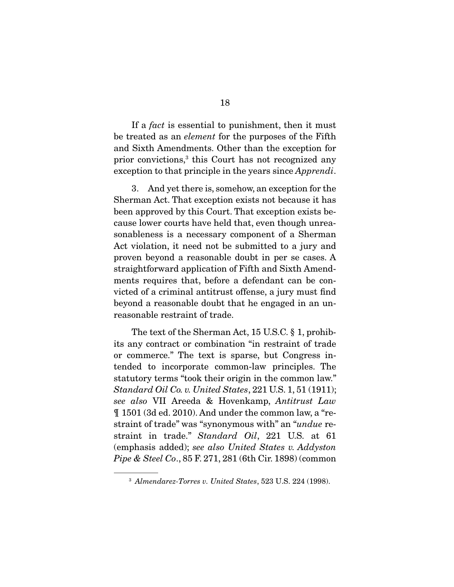If a *fact* is essential to punishment, then it must be treated as an element for the purposes of the Fifth and Sixth Amendments. Other than the exception for prior convictions,3 this Court has not recognized any exception to that principle in the years since *Apprendi*.

 3. And yet there is, somehow, an exception for the Sherman Act. That exception exists not because it has been approved by this Court. That exception exists because lower courts have held that, even though unreasonableness is a necessary component of a Sherman Act violation, it need not be submitted to a jury and proven beyond a reasonable doubt in per se cases. A straightforward application of Fifth and Sixth Amendments requires that, before a defendant can be convicted of a criminal antitrust offense, a jury must find beyond a reasonable doubt that he engaged in an unreasonable restraint of trade.

 The text of the Sherman Act, 15 U.S.C. § 1, prohibits any contract or combination "in restraint of trade or commerce." The text is sparse, but Congress intended to incorporate common-law principles. The statutory terms "took their origin in the common law." Standard Oil Co. v. United States, 221 U.S. 1, 51 (1911); see also VII Areeda & Hovenkamp, Antitrust Law ¶ 1501 (3d ed. 2010). And under the common law, a "restraint of trade" was "synonymous with" an "*undue* restraint in trade." Standard Oil, 221 U.S. at 61 (emphasis added); see also United States v. Addyston Pipe & Steel Co., 85 F. 271, 281 (6th Cir. 1898) (common

<sup>3</sup> Almendarez-Torres v. United States, 523 U.S. 224 (1998).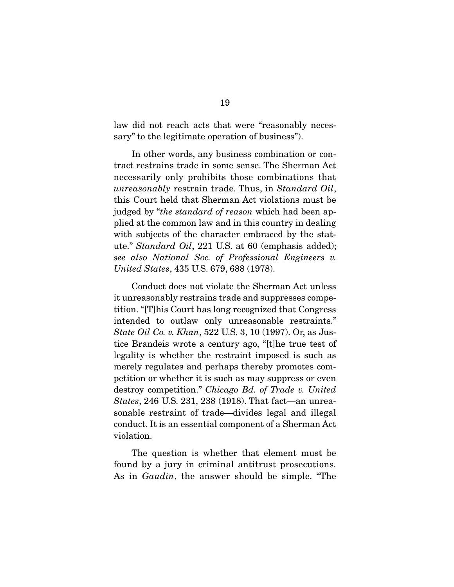law did not reach acts that were "reasonably necessary" to the legitimate operation of business").

 In other words, any business combination or contract restrains trade in some sense. The Sherman Act necessarily only prohibits those combinations that unreasonably restrain trade. Thus, in Standard Oil, this Court held that Sherman Act violations must be judged by "*the standard of reason* which had been applied at the common law and in this country in dealing with subjects of the character embraced by the statute." Standard Oil, 221 U.S. at 60 (emphasis added); see also National Soc. of Professional Engineers v. United States, 435 U.S. 679, 688 (1978).

 Conduct does not violate the Sherman Act unless it unreasonably restrains trade and suppresses competition. "[T]his Court has long recognized that Congress intended to outlaw only unreasonable restraints." State Oil Co. v. Khan, 522 U.S. 3, 10 (1997). Or, as Justice Brandeis wrote a century ago, "[t]he true test of legality is whether the restraint imposed is such as merely regulates and perhaps thereby promotes competition or whether it is such as may suppress or even destroy competition." Chicago Bd. of Trade v. United States, 246 U.S. 231, 238 (1918). That fact—an unreasonable restraint of trade—divides legal and illegal conduct. It is an essential component of a Sherman Act violation.

 The question is whether that element must be found by a jury in criminal antitrust prosecutions. As in Gaudin, the answer should be simple. "The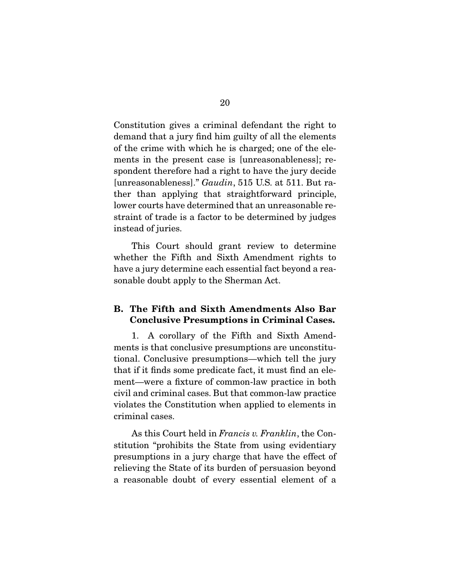Constitution gives a criminal defendant the right to demand that a jury find him guilty of all the elements of the crime with which he is charged; one of the elements in the present case is [unreasonableness]; respondent therefore had a right to have the jury decide [unreasonableness]." Gaudin, 515 U.S. at 511. But rather than applying that straightforward principle, lower courts have determined that an unreasonable restraint of trade is a factor to be determined by judges instead of juries.

 This Court should grant review to determine whether the Fifth and Sixth Amendment rights to have a jury determine each essential fact beyond a reasonable doubt apply to the Sherman Act.

#### **B. The Fifth and Sixth Amendments Also Bar Conclusive Presumptions in Criminal Cases.**

1. A corollary of the Fifth and Sixth Amendments is that conclusive presumptions are unconstitutional. Conclusive presumptions—which tell the jury that if it finds some predicate fact, it must find an element—were a fixture of common-law practice in both civil and criminal cases. But that common-law practice violates the Constitution when applied to elements in criminal cases.

 As this Court held in Francis v. Franklin, the Constitution "prohibits the State from using evidentiary presumptions in a jury charge that have the effect of relieving the State of its burden of persuasion beyond a reasonable doubt of every essential element of a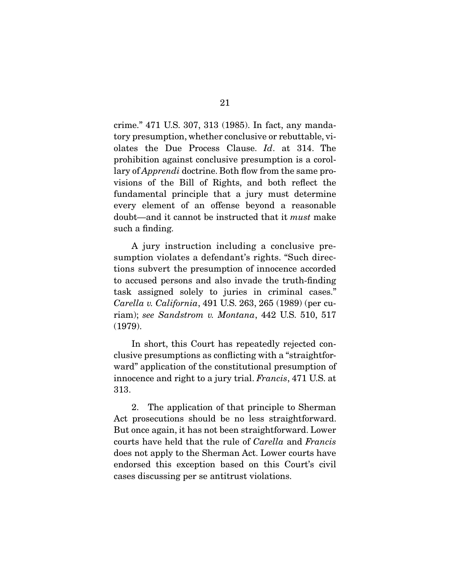crime." 471 U.S. 307, 313 (1985). In fact, any mandatory presumption, whether conclusive or rebuttable, violates the Due Process Clause. Id. at 314. The prohibition against conclusive presumption is a corollary of *Apprendi* doctrine. Both flow from the same provisions of the Bill of Rights, and both reflect the fundamental principle that a jury must determine every element of an offense beyond a reasonable doubt—and it cannot be instructed that it must make such a finding.

 A jury instruction including a conclusive presumption violates a defendant's rights. "Such directions subvert the presumption of innocence accorded to accused persons and also invade the truth-finding task assigned solely to juries in criminal cases." Carella v. California, 491 U.S. 263, 265 (1989) (per curiam); see Sandstrom v. Montana, 442 U.S. 510, 517 (1979).

 In short, this Court has repeatedly rejected conclusive presumptions as conflicting with a "straightforward" application of the constitutional presumption of innocence and right to a jury trial. Francis, 471 U.S. at 313.

 2. The application of that principle to Sherman Act prosecutions should be no less straightforward. But once again, it has not been straightforward. Lower courts have held that the rule of Carella and Francis does not apply to the Sherman Act. Lower courts have endorsed this exception based on this Court's civil cases discussing per se antitrust violations.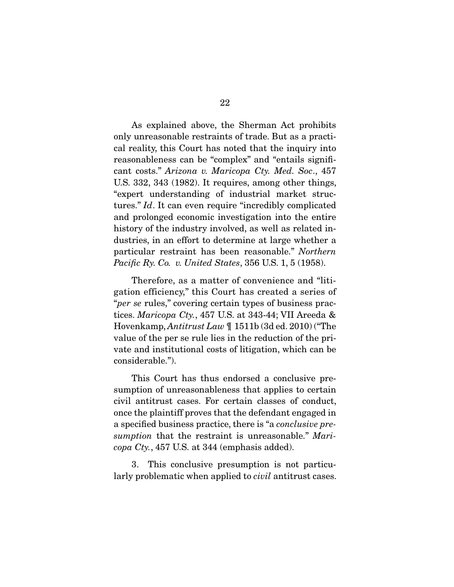As explained above, the Sherman Act prohibits only unreasonable restraints of trade. But as a practical reality, this Court has noted that the inquiry into reasonableness can be "complex" and "entails significant costs." Arizona v. Maricopa Cty. Med. Soc., 457 U.S. 332, 343 (1982). It requires, among other things, "expert understanding of industrial market structures." Id. It can even require "incredibly complicated and prolonged economic investigation into the entire history of the industry involved, as well as related industries, in an effort to determine at large whether a particular restraint has been reasonable." Northern Pacific Ry. Co. v. United States, 356 U.S. 1, 5 (1958).

Therefore, as a matter of convenience and "litigation efficiency," this Court has created a series of "per se rules," covering certain types of business practices. Maricopa Cty., 457 U.S. at 343-44; VII Areeda & Hovenkamp, Antitrust Law ¶ 1511b (3d ed. 2010) ("The value of the per se rule lies in the reduction of the private and institutional costs of litigation, which can be considerable.").

 This Court has thus endorsed a conclusive presumption of unreasonableness that applies to certain civil antitrust cases. For certain classes of conduct, once the plaintiff proves that the defendant engaged in a specified business practice, there is "a conclusive presumption that the restraint is unreasonable." Mari $copa Cty.$ , 457 U.S. at 344 (emphasis added).

 3. This conclusive presumption is not particularly problematic when applied to *civil* antitrust cases.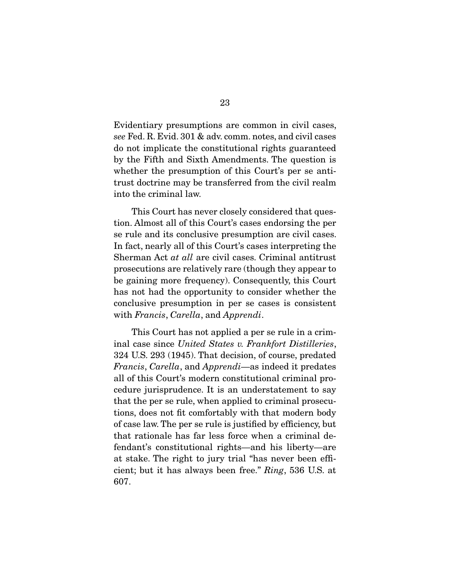Evidentiary presumptions are common in civil cases, see Fed. R. Evid. 301 & adv. comm. notes, and civil cases do not implicate the constitutional rights guaranteed by the Fifth and Sixth Amendments. The question is whether the presumption of this Court's per se antitrust doctrine may be transferred from the civil realm into the criminal law.

 This Court has never closely considered that question. Almost all of this Court's cases endorsing the per se rule and its conclusive presumption are civil cases. In fact, nearly all of this Court's cases interpreting the Sherman Act at all are civil cases. Criminal antitrust prosecutions are relatively rare (though they appear to be gaining more frequency). Consequently, this Court has not had the opportunity to consider whether the conclusive presumption in per se cases is consistent with Francis, Carella, and Apprendi.

 This Court has not applied a per se rule in a criminal case since United States v. Frankfort Distilleries, 324 U.S. 293 (1945). That decision, of course, predated Francis, Carella, and Apprendi—as indeed it predates all of this Court's modern constitutional criminal procedure jurisprudence. It is an understatement to say that the per se rule, when applied to criminal prosecutions, does not fit comfortably with that modern body of case law. The per se rule is justified by efficiency, but that rationale has far less force when a criminal defendant's constitutional rights—and his liberty—are at stake. The right to jury trial "has never been efficient; but it has always been free." Ring, 536 U.S. at 607.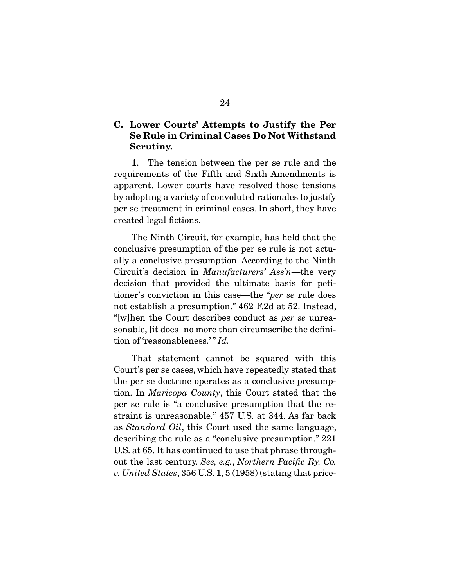### **C. Lower Courts' Attempts to Justify the Per Se Rule in Criminal Cases Do Not Withstand Scrutiny.**

1. The tension between the per se rule and the requirements of the Fifth and Sixth Amendments is apparent. Lower courts have resolved those tensions by adopting a variety of convoluted rationales to justify per se treatment in criminal cases. In short, they have created legal fictions.

 The Ninth Circuit, for example, has held that the conclusive presumption of the per se rule is not actually a conclusive presumption. According to the Ninth Circuit's decision in Manufacturers' Ass'n—the very decision that provided the ultimate basis for petitioner's conviction in this case—the "per se rule does not establish a presumption." 462 F.2d at 52. Instead, "[w]hen the Court describes conduct as per se unreasonable, [it does] no more than circumscribe the definition of 'reasonableness.'" Id.

That statement cannot be squared with this Court's per se cases, which have repeatedly stated that the per se doctrine operates as a conclusive presumption. In Maricopa County, this Court stated that the per se rule is "a conclusive presumption that the restraint is unreasonable." 457 U.S. at 344. As far back as Standard Oil, this Court used the same language, describing the rule as a "conclusive presumption." 221 U.S. at 65. It has continued to use that phrase throughout the last century. See, e.g., Northern Pacific Ry. Co. v. United States, 356 U.S. 1, 5 (1958) (stating that price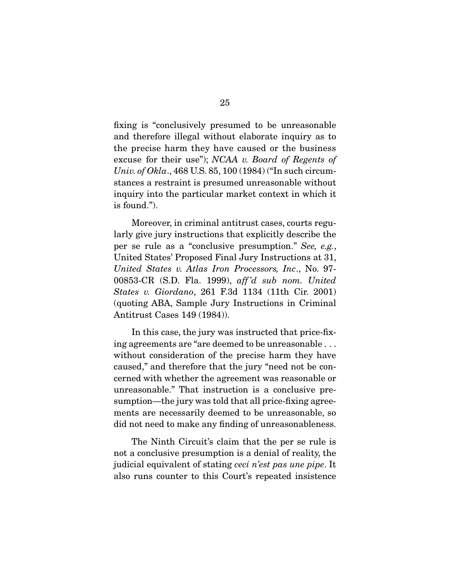fixing is "conclusively presumed to be unreasonable and therefore illegal without elaborate inquiry as to the precise harm they have caused or the business excuse for their use"); NCAA v. Board of Regents of Univ. of Okla., 468 U.S. 85, 100 (1984) ("In such circumstances a restraint is presumed unreasonable without inquiry into the particular market context in which it is found.").

 Moreover, in criminal antitrust cases, courts regularly give jury instructions that explicitly describe the per se rule as a "conclusive presumption." See, e.g., United States' Proposed Final Jury Instructions at 31, United States v. Atlas Iron Processors, Inc., No. 97- 00853-CR (S.D. Fla. 1999), aff 'd sub nom. United States v. Giordano, 261 F.3d 1134 (11th Cir. 2001) (quoting ABA, Sample Jury Instructions in Criminal Antitrust Cases 149 (1984)).

 In this case, the jury was instructed that price-fixing agreements are "are deemed to be unreasonable . . . without consideration of the precise harm they have caused," and therefore that the jury "need not be concerned with whether the agreement was reasonable or unreasonable." That instruction is a conclusive presumption—the jury was told that all price-fixing agreements are necessarily deemed to be unreasonable, so did not need to make any finding of unreasonableness.

 The Ninth Circuit's claim that the per se rule is not a conclusive presumption is a denial of reality, the judicial equivalent of stating ceci n'est pas une pipe. It also runs counter to this Court's repeated insistence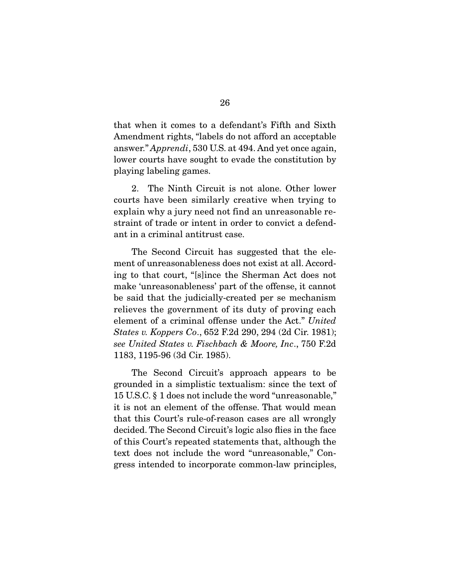that when it comes to a defendant's Fifth and Sixth Amendment rights, "labels do not afford an acceptable answer." Apprendi, 530 U.S. at 494. And yet once again, lower courts have sought to evade the constitution by playing labeling games.

 2. The Ninth Circuit is not alone. Other lower courts have been similarly creative when trying to explain why a jury need not find an unreasonable restraint of trade or intent in order to convict a defendant in a criminal antitrust case.

 The Second Circuit has suggested that the element of unreasonableness does not exist at all. According to that court, "[s]ince the Sherman Act does not make 'unreasonableness' part of the offense, it cannot be said that the judicially-created per se mechanism relieves the government of its duty of proving each element of a criminal offense under the Act." United States v. Koppers Co., 652 F.2d 290, 294 (2d Cir. 1981); see United States v. Fischbach & Moore, Inc., 750 F.2d 1183, 1195-96 (3d Cir. 1985).

 The Second Circuit's approach appears to be grounded in a simplistic textualism: since the text of 15 U.S.C. § 1 does not include the word "unreasonable," it is not an element of the offense. That would mean that this Court's rule-of-reason cases are all wrongly decided. The Second Circuit's logic also flies in the face of this Court's repeated statements that, although the text does not include the word "unreasonable," Congress intended to incorporate common-law principles,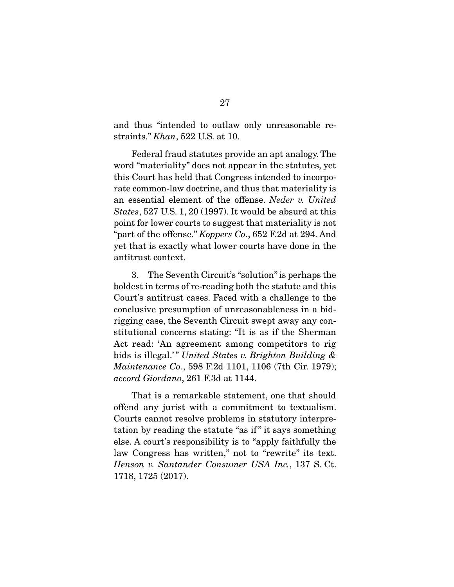and thus "intended to outlaw only unreasonable restraints." Khan, 522 U.S. at 10.

 Federal fraud statutes provide an apt analogy. The word "materiality" does not appear in the statutes, yet this Court has held that Congress intended to incorporate common-law doctrine, and thus that materiality is an essential element of the offense. Neder v. United States, 527 U.S. 1, 20 (1997). It would be absurd at this point for lower courts to suggest that materiality is not "part of the offense." Koppers Co., 652 F.2d at 294. And yet that is exactly what lower courts have done in the antitrust context.

 3. The Seventh Circuit's "solution" is perhaps the boldest in terms of re-reading both the statute and this Court's antitrust cases. Faced with a challenge to the conclusive presumption of unreasonableness in a bidrigging case, the Seventh Circuit swept away any constitutional concerns stating: "It is as if the Sherman Act read: 'An agreement among competitors to rig bids is illegal.'" United States v. Brighton Building & Maintenance Co., 598 F.2d 1101, 1106 (7th Cir. 1979); accord Giordano, 261 F.3d at 1144.

 That is a remarkable statement, one that should offend any jurist with a commitment to textualism. Courts cannot resolve problems in statutory interpretation by reading the statute "as if " it says something else. A court's responsibility is to "apply faithfully the law Congress has written," not to "rewrite" its text. Henson v. Santander Consumer USA Inc., 137 S. Ct. 1718, 1725 (2017).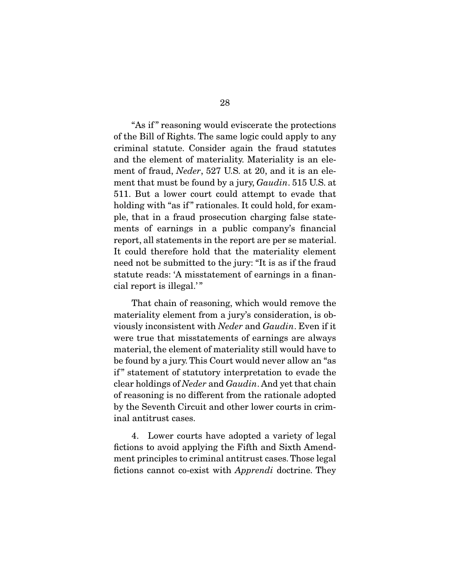"As if " reasoning would eviscerate the protections of the Bill of Rights. The same logic could apply to any criminal statute. Consider again the fraud statutes and the element of materiality. Materiality is an element of fraud, Neder, 527 U.S. at 20, and it is an element that must be found by a jury, *Gaudin*. 515 U.S. at 511. But a lower court could attempt to evade that holding with "as if" rationales. It could hold, for example, that in a fraud prosecution charging false statements of earnings in a public company's financial report, all statements in the report are per se material. It could therefore hold that the materiality element need not be submitted to the jury: "It is as if the fraud statute reads: 'A misstatement of earnings in a financial report is illegal.'"

 That chain of reasoning, which would remove the materiality element from a jury's consideration, is obviously inconsistent with Neder and Gaudin. Even if it were true that misstatements of earnings are always material, the element of materiality still would have to be found by a jury. This Court would never allow an "as if " statement of statutory interpretation to evade the clear holdings of Neder and Gaudin. And yet that chain of reasoning is no different from the rationale adopted by the Seventh Circuit and other lower courts in criminal antitrust cases.

 4. Lower courts have adopted a variety of legal fictions to avoid applying the Fifth and Sixth Amendment principles to criminal antitrust cases. Those legal fictions cannot co-exist with Apprendi doctrine. They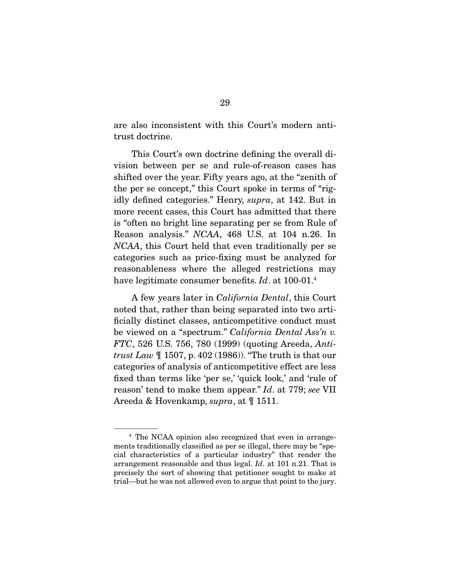are also inconsistent with this Court's modern antitrust doctrine.

 This Court's own doctrine defining the overall division between per se and rule-of-reason cases has shifted over the year. Fifty years ago, at the "zenith of the per se concept," this Court spoke in terms of "rigidly defined categories." Henry, supra, at 142. But in more recent cases, this Court has admitted that there is "often no bright line separating per se from Rule of Reason analysis." NCAA, 468 U.S. at 104 n.26. In NCAA, this Court held that even traditionally per se categories such as price-fixing must be analyzed for reasonableness where the alleged restrictions may have legitimate consumer benefits. Id. at 100-01.<sup>4</sup>

 A few years later in California Dental, this Court noted that, rather than being separated into two artificially distinct classes, anticompetitive conduct must be viewed on a "spectrum." California Dental Ass'n v. FTC, 526 U.S. 756, 780 (1999) (quoting Areeda, Anti*trust Law*  $\parallel$  1507, p. 402 (1986)). "The truth is that our categories of analysis of anticompetitive effect are less fixed than terms like 'per se,' 'quick look,' and 'rule of reason' tend to make them appear." Id. at 779; see VII Areeda & Hovenkamp, supra, at ¶ 1511.

<sup>4</sup> The NCAA opinion also recognized that even in arrangements traditionally classified as per se illegal, there may be "special characteristics of a particular industry" that render the arrangement reasonable and thus legal. Id. at 101 n.21. That is precisely the sort of showing that petitioner sought to make at trial—but he was not allowed even to argue that point to the jury.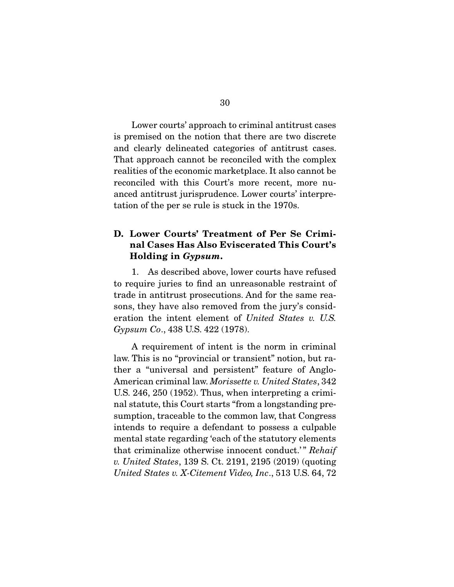Lower courts' approach to criminal antitrust cases is premised on the notion that there are two discrete and clearly delineated categories of antitrust cases. That approach cannot be reconciled with the complex realities of the economic marketplace. It also cannot be reconciled with this Court's more recent, more nuanced antitrust jurisprudence. Lower courts' interpretation of the per se rule is stuck in the 1970s.

### **D. Lower Courts' Treatment of Per Se Criminal Cases Has Also Eviscerated This Court's Holding in** *Gypsum***.**

1. As described above, lower courts have refused to require juries to find an unreasonable restraint of trade in antitrust prosecutions. And for the same reasons, they have also removed from the jury's consideration the intent element of United States v. U.S. Gypsum Co., 438 U.S. 422 (1978).

 A requirement of intent is the norm in criminal law. This is no "provincial or transient" notion, but rather a "universal and persistent" feature of Anglo-American criminal law. Morissette v. United States, 342 U.S. 246, 250 (1952). Thus, when interpreting a criminal statute, this Court starts "from a longstanding presumption, traceable to the common law, that Congress intends to require a defendant to possess a culpable mental state regarding 'each of the statutory elements that criminalize otherwise innocent conduct.'" Rehaif v. United States, 139 S. Ct. 2191, 2195 (2019) (quoting United States v. X-Citement Video, Inc., 513 U.S. 64, 72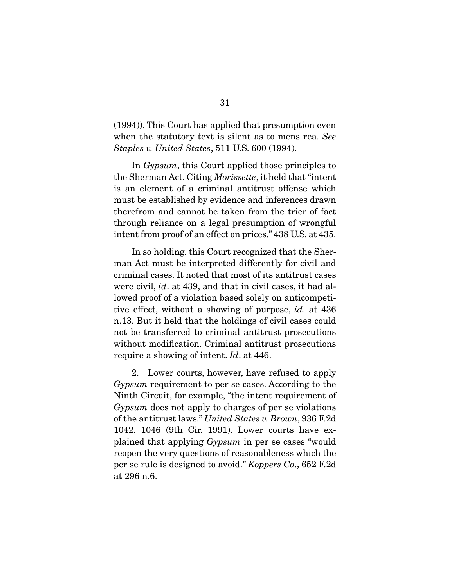(1994)). This Court has applied that presumption even when the statutory text is silent as to mens rea. See Staples v. United States, 511 U.S. 600 (1994).

 In Gypsum, this Court applied those principles to the Sherman Act. Citing Morissette, it held that "intent is an element of a criminal antitrust offense which must be established by evidence and inferences drawn therefrom and cannot be taken from the trier of fact through reliance on a legal presumption of wrongful intent from proof of an effect on prices." 438 U.S. at 435.

 In so holding, this Court recognized that the Sherman Act must be interpreted differently for civil and criminal cases. It noted that most of its antitrust cases were civil, *id.* at 439, and that in civil cases, it had allowed proof of a violation based solely on anticompetitive effect, without a showing of purpose, id. at 436 n.13. But it held that the holdings of civil cases could not be transferred to criminal antitrust prosecutions without modification. Criminal antitrust prosecutions require a showing of intent. Id. at 446.

 2. Lower courts, however, have refused to apply Gypsum requirement to per se cases. According to the Ninth Circuit, for example, "the intent requirement of Gypsum does not apply to charges of per se violations of the antitrust laws." United States v. Brown, 936 F.2d 1042, 1046 (9th Cir. 1991). Lower courts have explained that applying Gypsum in per se cases "would reopen the very questions of reasonableness which the per se rule is designed to avoid." Koppers Co., 652 F.2d at 296 n.6.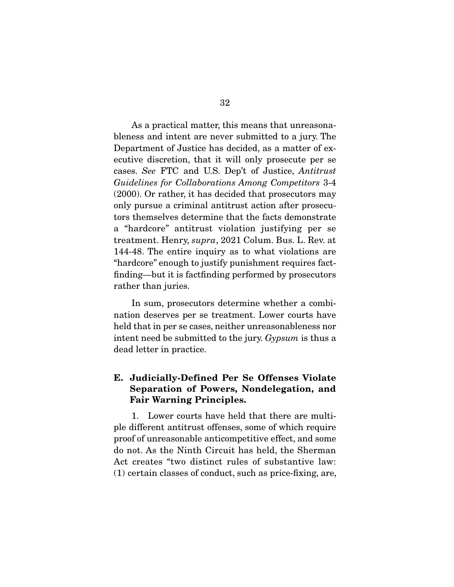As a practical matter, this means that unreasonableness and intent are never submitted to a jury. The Department of Justice has decided, as a matter of executive discretion, that it will only prosecute per se cases. See FTC and U.S. Dep't of Justice, Antitrust Guidelines for Collaborations Among Competitors 3-4 (2000). Or rather, it has decided that prosecutors may only pursue a criminal antitrust action after prosecutors themselves determine that the facts demonstrate a "hardcore" antitrust violation justifying per se treatment. Henry, supra, 2021 Colum. Bus. L. Rev. at 144-48. The entire inquiry as to what violations are "hardcore" enough to justify punishment requires factfinding—but it is factfinding performed by prosecutors rather than juries.

 In sum, prosecutors determine whether a combination deserves per se treatment. Lower courts have held that in per se cases, neither unreasonableness nor intent need be submitted to the jury. Gypsum is thus a dead letter in practice.

### **E. Judicially-Defined Per Se Offenses Violate Separation of Powers, Nondelegation, and Fair Warning Principles.**

1. Lower courts have held that there are multiple different antitrust offenses, some of which require proof of unreasonable anticompetitive effect, and some do not. As the Ninth Circuit has held, the Sherman Act creates "two distinct rules of substantive law: (1) certain classes of conduct, such as price-fixing, are,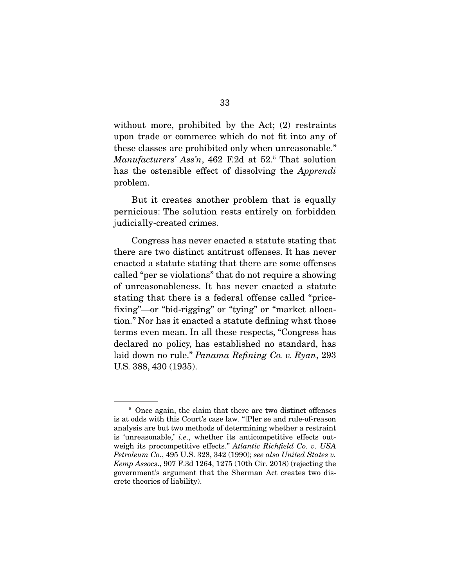without more, prohibited by the Act; (2) restraints upon trade or commerce which do not fit into any of these classes are prohibited only when unreasonable." Manufacturers' Ass'n, 462 F.2d at 52.<sup>5</sup> That solution has the ostensible effect of dissolving the Apprendi problem.

 But it creates another problem that is equally pernicious: The solution rests entirely on forbidden judicially-created crimes.

 Congress has never enacted a statute stating that there are two distinct antitrust offenses. It has never enacted a statute stating that there are some offenses called "per se violations" that do not require a showing of unreasonableness. It has never enacted a statute stating that there is a federal offense called "pricefixing"—or "bid-rigging" or "tying" or "market allocation." Nor has it enacted a statute defining what those terms even mean. In all these respects, "Congress has declared no policy, has established no standard, has laid down no rule." Panama Refining Co. v. Ryan, 293 U.S. 388, 430 (1935).

<sup>&</sup>lt;sup>5</sup> Once again, the claim that there are two distinct offenses is at odds with this Court's case law. "[P]er se and rule-of-reason analysis are but two methods of determining whether a restraint is 'unreasonable,' i.e., whether its anticompetitive effects outweigh its procompetitive effects." Atlantic Richfield Co. v. USA Petroleum Co., 495 U.S. 328, 342 (1990); see also United States v. Kemp Assocs., 907 F.3d 1264, 1275 (10th Cir. 2018) (rejecting the government's argument that the Sherman Act creates two discrete theories of liability).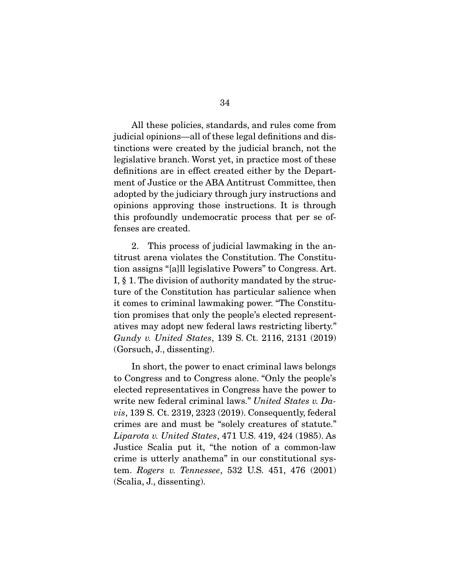All these policies, standards, and rules come from judicial opinions—all of these legal definitions and distinctions were created by the judicial branch, not the legislative branch. Worst yet, in practice most of these definitions are in effect created either by the Department of Justice or the ABA Antitrust Committee, then adopted by the judiciary through jury instructions and opinions approving those instructions. It is through this profoundly undemocratic process that per se offenses are created.

 2. This process of judicial lawmaking in the antitrust arena violates the Constitution. The Constitution assigns "[a]ll legislative Powers" to Congress. Art. I, § 1. The division of authority mandated by the structure of the Constitution has particular salience when it comes to criminal lawmaking power. "The Constitution promises that only the people's elected representatives may adopt new federal laws restricting liberty." Gundy v. United States, 139 S. Ct. 2116, 2131 (2019) (Gorsuch, J., dissenting).

 In short, the power to enact criminal laws belongs to Congress and to Congress alone. "Only the people's elected representatives in Congress have the power to write new federal criminal laws." United States v. Davis, 139 S. Ct. 2319, 2323 (2019). Consequently, federal crimes are and must be "solely creatures of statute." Liparota v. United States, 471 U.S. 419, 424 (1985). As Justice Scalia put it, "the notion of a common-law crime is utterly anathema" in our constitutional system. Rogers v. Tennessee, 532 U.S. 451, 476 (2001) (Scalia, J., dissenting).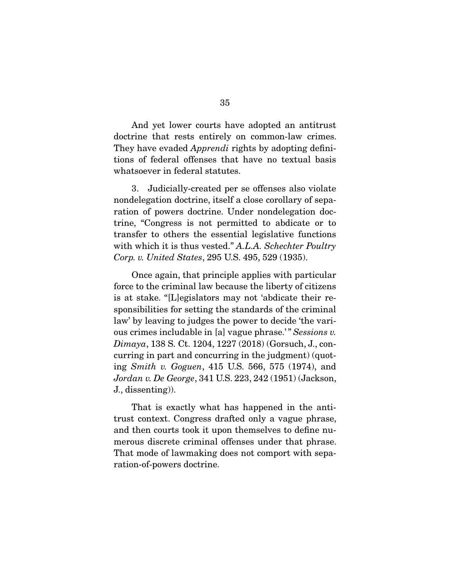And yet lower courts have adopted an antitrust doctrine that rests entirely on common-law crimes. They have evaded *Apprendi* rights by adopting definitions of federal offenses that have no textual basis whatsoever in federal statutes.

 3. Judicially-created per se offenses also violate nondelegation doctrine, itself a close corollary of separation of powers doctrine. Under nondelegation doctrine, "Congress is not permitted to abdicate or to transfer to others the essential legislative functions with which it is thus vested." A.L.A. Schechter Poultry Corp. v. United States, 295 U.S. 495, 529 (1935).

 Once again, that principle applies with particular force to the criminal law because the liberty of citizens is at stake. "[L]egislators may not 'abdicate their responsibilities for setting the standards of the criminal law' by leaving to judges the power to decide 'the various crimes includable in [a] vague phrase.'" Sessions v. Dimaya, 138 S. Ct. 1204, 1227 (2018) (Gorsuch, J., concurring in part and concurring in the judgment) (quoting Smith v. Goguen, 415 U.S. 566, 575 (1974), and Jordan v. De George, 341 U.S. 223, 242 (1951) (Jackson, J., dissenting)).

 That is exactly what has happened in the antitrust context. Congress drafted only a vague phrase, and then courts took it upon themselves to define numerous discrete criminal offenses under that phrase. That mode of lawmaking does not comport with separation-of-powers doctrine.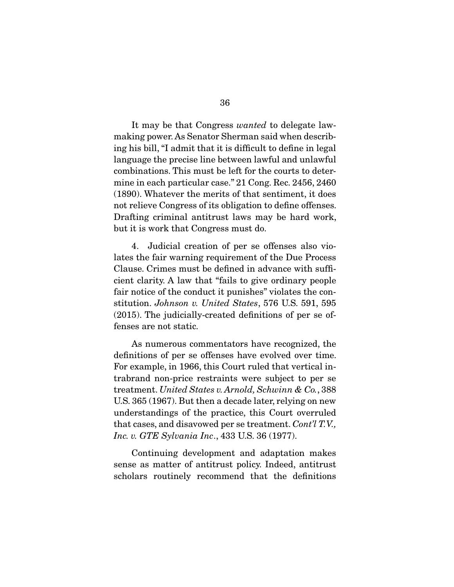It may be that Congress *wanted* to delegate lawmaking power. As Senator Sherman said when describing his bill, "I admit that it is difficult to define in legal language the precise line between lawful and unlawful combinations. This must be left for the courts to determine in each particular case." 21 Cong. Rec. 2456, 2460 (1890). Whatever the merits of that sentiment, it does not relieve Congress of its obligation to define offenses. Drafting criminal antitrust laws may be hard work, but it is work that Congress must do.

 4. Judicial creation of per se offenses also violates the fair warning requirement of the Due Process Clause. Crimes must be defined in advance with sufficient clarity. A law that "fails to give ordinary people fair notice of the conduct it punishes" violates the constitution. Johnson v. United States, 576 U.S. 591, 595 (2015). The judicially-created definitions of per se offenses are not static.

 As numerous commentators have recognized, the definitions of per se offenses have evolved over time. For example, in 1966, this Court ruled that vertical intrabrand non-price restraints were subject to per se treatment. United States v. Arnold, Schwinn & Co., 388 U.S. 365 (1967). But then a decade later, relying on new understandings of the practice, this Court overruled that cases, and disavowed per se treatment. Cont'l T.V., Inc. v. GTE Sylvania Inc., 433 U.S. 36 (1977).

 Continuing development and adaptation makes sense as matter of antitrust policy. Indeed, antitrust scholars routinely recommend that the definitions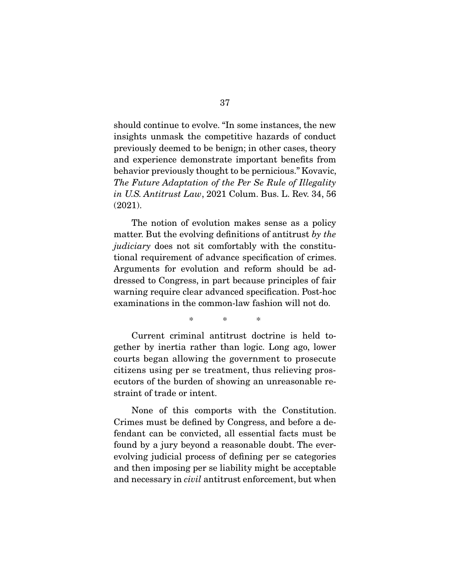should continue to evolve. "In some instances, the new insights unmask the competitive hazards of conduct previously deemed to be benign; in other cases, theory and experience demonstrate important benefits from behavior previously thought to be pernicious." Kovavic, The Future Adaptation of the Per Se Rule of Illegality in U.S. Antitrust Law, 2021 Colum. Bus. L. Rev. 34, 56 (2021).

 The notion of evolution makes sense as a policy matter. But the evolving definitions of antitrust by the judiciary does not sit comfortably with the constitutional requirement of advance specification of crimes. Arguments for evolution and reform should be addressed to Congress, in part because principles of fair warning require clear advanced specification. Post-hoc examinations in the common-law fashion will not do.

\* \* \*

Current criminal antitrust doctrine is held together by inertia rather than logic. Long ago, lower courts began allowing the government to prosecute citizens using per se treatment, thus relieving prosecutors of the burden of showing an unreasonable restraint of trade or intent.

 None of this comports with the Constitution. Crimes must be defined by Congress, and before a defendant can be convicted, all essential facts must be found by a jury beyond a reasonable doubt. The everevolving judicial process of defining per se categories and then imposing per se liability might be acceptable and necessary in civil antitrust enforcement, but when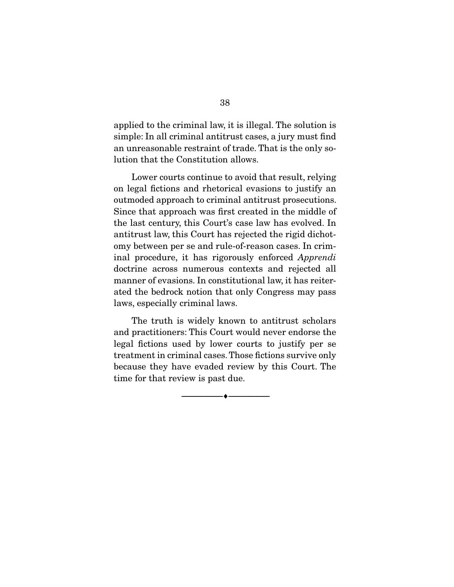applied to the criminal law, it is illegal. The solution is simple: In all criminal antitrust cases, a jury must find an unreasonable restraint of trade. That is the only solution that the Constitution allows.

 Lower courts continue to avoid that result, relying on legal fictions and rhetorical evasions to justify an outmoded approach to criminal antitrust prosecutions. Since that approach was first created in the middle of the last century, this Court's case law has evolved. In antitrust law, this Court has rejected the rigid dichotomy between per se and rule-of-reason cases. In criminal procedure, it has rigorously enforced Apprendi doctrine across numerous contexts and rejected all manner of evasions. In constitutional law, it has reiterated the bedrock notion that only Congress may pass laws, especially criminal laws.

 The truth is widely known to antitrust scholars and practitioners: This Court would never endorse the legal fictions used by lower courts to justify per se treatment in criminal cases. Those fictions survive only because they have evaded review by this Court. The time for that review is past due.

 $\overbrace{\hspace{2.5cm}}^{\bullet}$   $\overbrace{\hspace{2.5cm}}^{\bullet}$